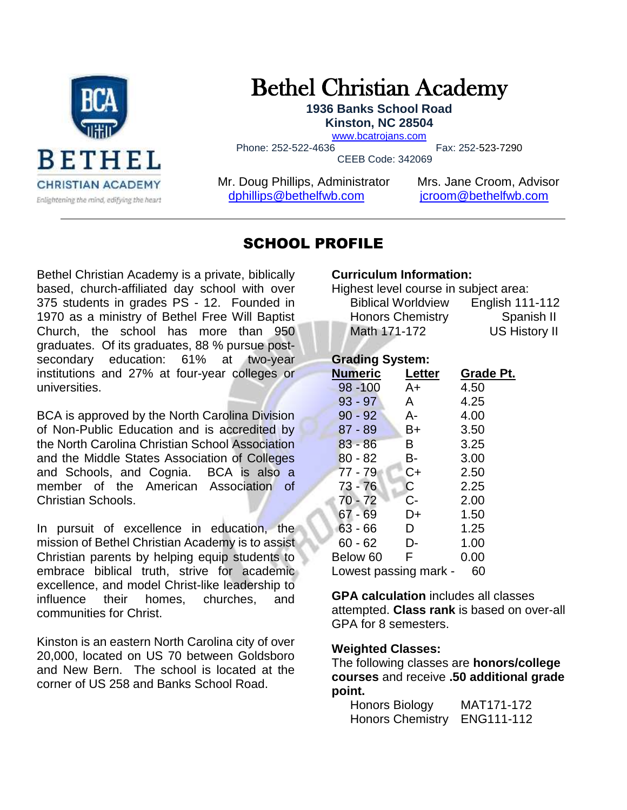

# Bethel Christian Academy

**1936 Banks School Road Kinston, NC 28504**

[www.bcatrojans.com](http://www.bcatrojans.com/)

Phone: 252-522-4636 Fax: 252-523-7290

CEEB Code: 342069

Mr. Doug Phillips, Administrator Mrs. Jane Croom, Advisor [dphillips@bethelfwb.com](mailto:dphillips@bethelfwb.com) [jcroom@bethelfwb.com](mailto:jcroom@bethelfwb.com)

# SCHOOL PROFILE

Bethel Christian Academy is a private, biblically based, church-affiliated day school with over 375 students in grades PS - 12. Founded in 1970 as a ministry of Bethel Free Will Baptist Church, the school has more than 950 graduates. Of its graduates, 88 % pursue postsecondary education: 61% at two-year institutions and 27% at four-year colleges or universities.

BCA is approved by the North Carolina Division of Non-Public Education and is accredited by the North Carolina Christian School Association and the Middle States Association of Colleges and Schools, and Cognia. BCA is also a member of the American Association of Christian Schools.

In pursuit of excellence in education, the mission of Bethel Christian Academy is t*o* assist Christian parents by helping equip students to embrace biblical truth, strive for academic excellence, and model Christ-like leadership to influence their homes, churches, and communities for Christ.

Kinston is an eastern North Carolina city of over 20,000, located on US 70 between Goldsboro and New Bern. The school is located at the corner of US 258 and Banks School Road.

#### **Curriculum Information:**

Highest level course in subject area:

| . .<br><b>Biblical Worldview</b> | English 111-112      |
|----------------------------------|----------------------|
| <b>Honors Chemistry</b>          | Spanish II           |
| Math 171-172                     | <b>US History II</b> |

#### **Grading System:**

| <b>Numeric</b>              | Letter | Grade Pt. |
|-----------------------------|--------|-----------|
| $98 - 100$                  | A+     | 4.50      |
| $93 - 97$                   | A      | 4.25      |
| $90 - 92$                   | A-     | 4.00      |
| $87 - 89$                   | B+     | 3.50      |
| $83 - 86$                   | B      | 3.25      |
| $80 - 82$                   | B-     | 3.00      |
| 77 - 79                     | $C+$   | 2.50      |
| 73 - 76                     | C.     | 2.25      |
| $70 - 72$                   | $C -$  | 2.00      |
| $67 - 69$                   | D+     | 1.50      |
| $63 - 66$                   | D.     | 1.25      |
| 60 - 62                     | D-     | 1.00      |
| Below 60                    | F.     | 0.00      |
| Lowest passing mark -<br>60 |        |           |

**GPA calculation** includes all classes attempted. **Class rank** is based on over-all GPA for 8 semesters.

#### **Weighted Classes:**

The following classes are **honors/college courses** and receive **.50 additional grade point.** 

| Honors Biology          | MAT171-172 |
|-------------------------|------------|
| <b>Honors Chemistry</b> | ENG111-112 |